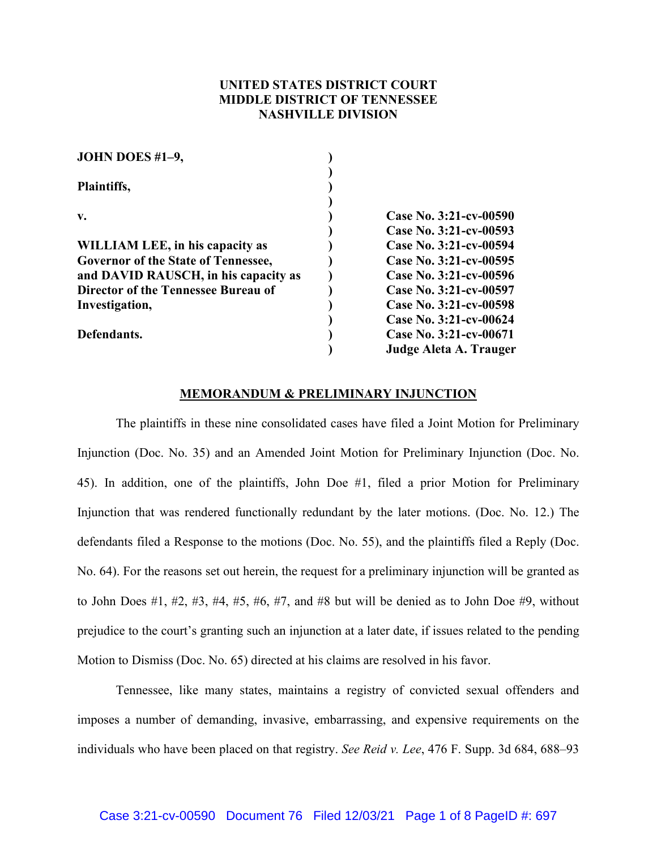## **UNITED STATES DISTRICT COURT MIDDLE DISTRICT OF TENNESSEE NASHVILLE DIVISION**

| JOHN DOES #1-9,                            |                        |
|--------------------------------------------|------------------------|
|                                            |                        |
| Plaintiffs,                                |                        |
|                                            |                        |
| $V_{\bullet}$                              | Case No. 3:21-cv-00590 |
|                                            | Case No. 3:21-cv-00593 |
| WILLIAM LEE, in his capacity as            | Case No. 3:21-cv-00594 |
| <b>Governor of the State of Tennessee,</b> | Case No. 3:21-cv-00595 |
| and DAVID RAUSCH, in his capacity as       | Case No. 3:21-cv-00596 |
| Director of the Tennessee Bureau of        | Case No. 3:21-cv-00597 |
| Investigation,                             | Case No. 3:21-cv-00598 |
|                                            | Case No. 3:21-cv-00624 |
| Defendants.                                | Case No. 3:21-cv-00671 |
|                                            | Judge Aleta A. Trauger |
|                                            |                        |

## **MEMORANDUM & PRELIMINARY INJUNCTION**

The plaintiffs in these nine consolidated cases have filed a Joint Motion for Preliminary Injunction (Doc. No. 35) and an Amended Joint Motion for Preliminary Injunction (Doc. No. 45). In addition, one of the plaintiffs, John Doe #1, filed a prior Motion for Preliminary Injunction that was rendered functionally redundant by the later motions. (Doc. No. 12.) The defendants filed a Response to the motions (Doc. No. 55), and the plaintiffs filed a Reply (Doc. No. 64). For the reasons set out herein, the request for a preliminary injunction will be granted as to John Does #1, #2, #3, #4, #5, #6, #7, and #8 but will be denied as to John Doe #9, without prejudice to the court's granting such an injunction at a later date, if issues related to the pending Motion to Dismiss (Doc. No. 65) directed at his claims are resolved in his favor.

Tennessee, like many states, maintains a registry of convicted sexual offenders and imposes a number of demanding, invasive, embarrassing, and expensive requirements on the individuals who have been placed on that registry. *See Reid v. Lee*, 476 F. Supp. 3d 684, 688–93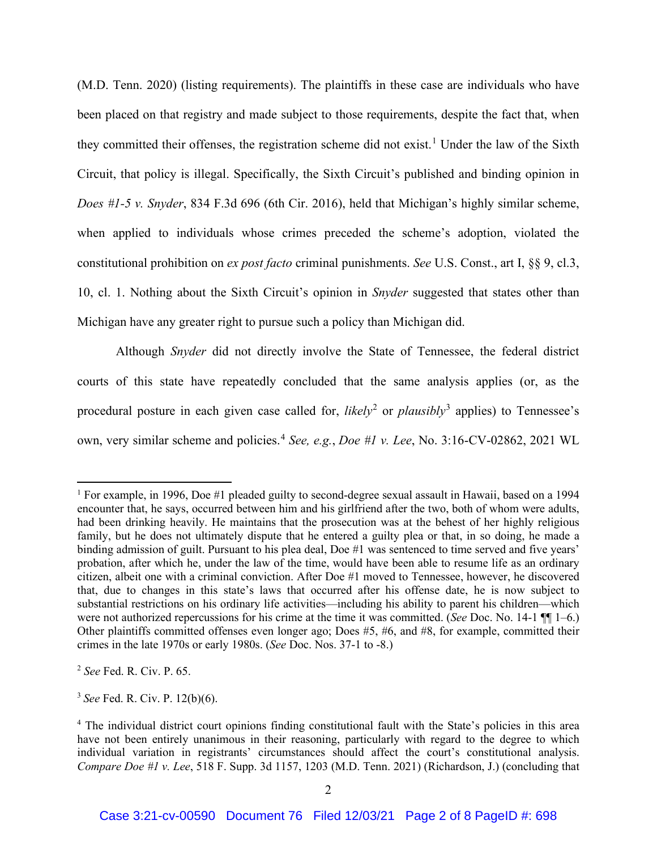(M.D. Tenn. 2020) (listing requirements). The plaintiffs in these case are individuals who have been placed on that registry and made subject to those requirements, despite the fact that, when they committed their offenses, the registration scheme did not exist.<sup>1</sup> Under the law of the Sixth Circuit, that policy is illegal. Specifically, the Sixth Circuit's published and binding opinion in *Does #1-5 v. Snyder*, 834 F.3d 696 (6th Cir. 2016), held that Michigan's highly similar scheme, when applied to individuals whose crimes preceded the scheme's adoption, violated the constitutional prohibition on *ex post facto* criminal punishments. *See* U.S. Const., art I, §§ 9, cl.3, 10, cl. 1. Nothing about the Sixth Circuit's opinion in *Snyder* suggested that states other than Michigan have any greater right to pursue such a policy than Michigan did.

Although *Snyder* did not directly involve the State of Tennessee, the federal district courts of this state have repeatedly concluded that the same analysis applies (or, as the procedural posture in each given case called for, *likely*<sup>2</sup> or *plausibly*<sup>3</sup> applies) to Tennessee's own, very similar scheme and policies. <sup>4</sup> *See, e.g.*, *Doe #1 v. Lee*, No. 3:16-CV-02862, 2021 WL

<sup>2</sup> *See* Fed. R. Civ. P. 65.

<sup>3</sup> *See* Fed. R. Civ. P. 12(b)(6).

<sup>1</sup> For example, in 1996, Doe #1 pleaded guilty to second-degree sexual assault in Hawaii, based on a 1994 encounter that, he says, occurred between him and his girlfriend after the two, both of whom were adults, had been drinking heavily. He maintains that the prosecution was at the behest of her highly religious family, but he does not ultimately dispute that he entered a guilty plea or that, in so doing, he made a binding admission of guilt. Pursuant to his plea deal, Doe #1 was sentenced to time served and five years' probation, after which he, under the law of the time, would have been able to resume life as an ordinary citizen, albeit one with a criminal conviction. After Doe #1 moved to Tennessee, however, he discovered that, due to changes in this state's laws that occurred after his offense date, he is now subject to substantial restrictions on his ordinary life activities—including his ability to parent his children—which were not authorized repercussions for his crime at the time it was committed. (*See* Doc. No. 14-1 ¶¶ 1–6.) Other plaintiffs committed offenses even longer ago; Does #5, #6, and #8, for example, committed their crimes in the late 1970s or early 1980s. (*See* Doc. Nos. 37-1 to -8.)

<sup>4</sup> The individual district court opinions finding constitutional fault with the State's policies in this area have not been entirely unanimous in their reasoning, particularly with regard to the degree to which individual variation in registrants' circumstances should affect the court's constitutional analysis. *Compare Doe #1 v. Lee*, 518 F. Supp. 3d 1157, 1203 (M.D. Tenn. 2021) (Richardson, J.) (concluding that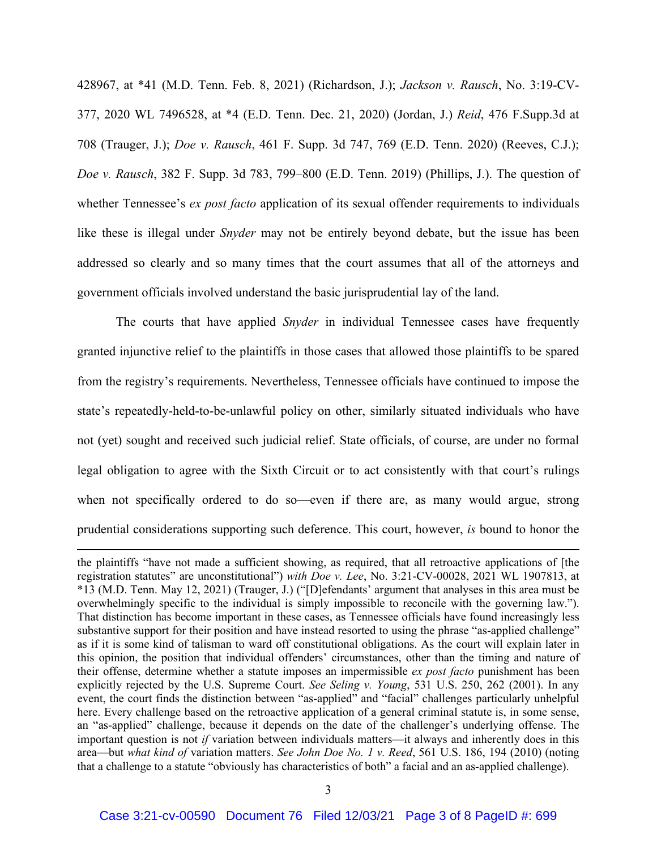428967, at \*41 (M.D. Tenn. Feb. 8, 2021) (Richardson, J.); *Jackson v. Rausch*, No. 3:19-CV-377, 2020 WL 7496528, at \*4 (E.D. Tenn. Dec. 21, 2020) (Jordan, J.) *Reid*, 476 F.Supp.3d at 708 (Trauger, J.); *Doe v. Rausch*, 461 F. Supp. 3d 747, 769 (E.D. Tenn. 2020) (Reeves, C.J.); *Doe v. Rausch*, 382 F. Supp. 3d 783, 799–800 (E.D. Tenn. 2019) (Phillips, J.). The question of whether Tennessee's *ex post facto* application of its sexual offender requirements to individuals like these is illegal under *Snyder* may not be entirely beyond debate, but the issue has been addressed so clearly and so many times that the court assumes that all of the attorneys and government officials involved understand the basic jurisprudential lay of the land.

The courts that have applied *Snyder* in individual Tennessee cases have frequently granted injunctive relief to the plaintiffs in those cases that allowed those plaintiffs to be spared from the registry's requirements. Nevertheless, Tennessee officials have continued to impose the state's repeatedly-held-to-be-unlawful policy on other, similarly situated individuals who have not (yet) sought and received such judicial relief. State officials, of course, are under no formal legal obligation to agree with the Sixth Circuit or to act consistently with that court's rulings when not specifically ordered to do so—even if there are, as many would argue, strong prudential considerations supporting such deference. This court, however, *is* bound to honor the

the plaintiffs "have not made a sufficient showing, as required, that all retroactive applications of [the registration statutes" are unconstitutional") *with Doe v. Lee*, No. 3:21-CV-00028, 2021 WL 1907813, at \*13 (M.D. Tenn. May 12, 2021) (Trauger, J.) ("[D]efendants' argument that analyses in this area must be overwhelmingly specific to the individual is simply impossible to reconcile with the governing law."). That distinction has become important in these cases, as Tennessee officials have found increasingly less substantive support for their position and have instead resorted to using the phrase "as-applied challenge" as if it is some kind of talisman to ward off constitutional obligations. As the court will explain later in this opinion, the position that individual offenders' circumstances, other than the timing and nature of their offense, determine whether a statute imposes an impermissible *ex post facto* punishment has been explicitly rejected by the U.S. Supreme Court. *See Seling v. Young*, 531 U.S. 250, 262 (2001). In any event, the court finds the distinction between "as-applied" and "facial" challenges particularly unhelpful here. Every challenge based on the retroactive application of a general criminal statute is, in some sense, an "as-applied" challenge, because it depends on the date of the challenger's underlying offense. The important question is not *if* variation between individuals matters—it always and inherently does in this area—but *what kind of* variation matters. *See John Doe No. 1 v. Reed*, 561 U.S. 186, 194 (2010) (noting that a challenge to a statute "obviously has characteristics of both" a facial and an as-applied challenge).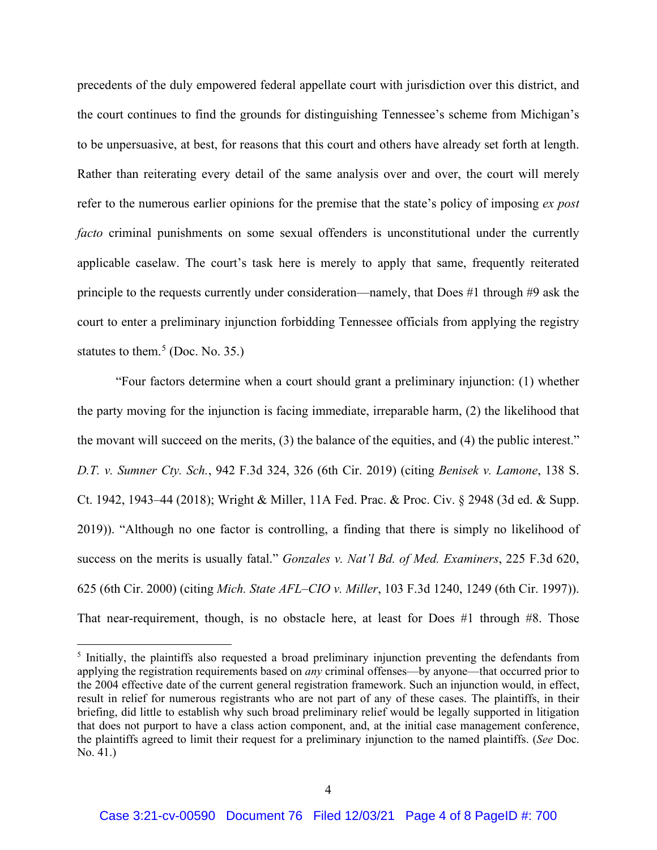precedents of the duly empowered federal appellate court with jurisdiction over this district, and the court continues to find the grounds for distinguishing Tennessee's scheme from Michigan's to be unpersuasive, at best, for reasons that this court and others have already set forth at length. Rather than reiterating every detail of the same analysis over and over, the court will merely refer to the numerous earlier opinions for the premise that the state's policy of imposing *ex post facto* criminal punishments on some sexual offenders is unconstitutional under the currently applicable caselaw. The court's task here is merely to apply that same, frequently reiterated principle to the requests currently under consideration—namely, that Does #1 through #9 ask the court to enter a preliminary injunction forbidding Tennessee officials from applying the registry statutes to them.<sup>5</sup> (Doc. No. 35.)

"Four factors determine when a court should grant a preliminary injunction: (1) whether the party moving for the injunction is facing immediate, irreparable harm, (2) the likelihood that the movant will succeed on the merits, (3) the balance of the equities, and (4) the public interest." *D.T. v. Sumner Cty. Sch.*, 942 F.3d 324, 326 (6th Cir. 2019) (citing *Benisek v. Lamone*, 138 S. Ct. 1942, 1943–44 (2018); Wright & Miller, 11A Fed. Prac. & Proc. Civ. § 2948 (3d ed. & Supp. 2019)). "Although no one factor is controlling, a finding that there is simply no likelihood of success on the merits is usually fatal." *Gonzales v. Nat'l Bd. of Med. Examiners*, 225 F.3d 620, 625 (6th Cir. 2000) (citing *Mich. State AFL–CIO v. Miller*, 103 F.3d 1240, 1249 (6th Cir. 1997)). That near-requirement, though, is no obstacle here, at least for Does #1 through #8. Those

<sup>&</sup>lt;sup>5</sup> Initially, the plaintiffs also requested a broad preliminary injunction preventing the defendants from applying the registration requirements based on *any* criminal offenses—by anyone—that occurred prior to the 2004 effective date of the current general registration framework. Such an injunction would, in effect, result in relief for numerous registrants who are not part of any of these cases. The plaintiffs, in their briefing, did little to establish why such broad preliminary relief would be legally supported in litigation that does not purport to have a class action component, and, at the initial case management conference, the plaintiffs agreed to limit their request for a preliminary injunction to the named plaintiffs. (*See* Doc. No. 41.)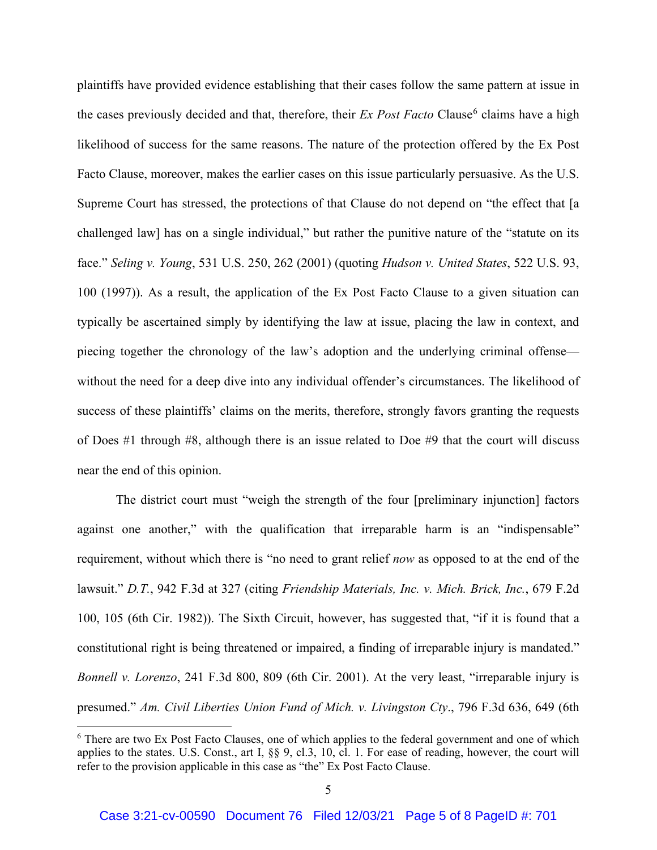plaintiffs have provided evidence establishing that their cases follow the same pattern at issue in the cases previously decided and that, therefore, their *Ex Post Facto* Clause<sup>6</sup> claims have a high likelihood of success for the same reasons. The nature of the protection offered by the Ex Post Facto Clause, moreover, makes the earlier cases on this issue particularly persuasive. As the U.S. Supreme Court has stressed, the protections of that Clause do not depend on "the effect that [a challenged law] has on a single individual," but rather the punitive nature of the "statute on its face." *Seling v. Young*, 531 U.S. 250, 262 (2001) (quoting *Hudson v. United States*, 522 U.S. 93, 100 (1997)). As a result, the application of the Ex Post Facto Clause to a given situation can typically be ascertained simply by identifying the law at issue, placing the law in context, and piecing together the chronology of the law's adoption and the underlying criminal offense without the need for a deep dive into any individual offender's circumstances. The likelihood of success of these plaintiffs' claims on the merits, therefore, strongly favors granting the requests of Does #1 through #8, although there is an issue related to Doe #9 that the court will discuss near the end of this opinion.

The district court must "weigh the strength of the four [preliminary injunction] factors against one another," with the qualification that irreparable harm is an "indispensable" requirement, without which there is "no need to grant relief *now* as opposed to at the end of the lawsuit." *D.T.*, 942 F.3d at 327 (citing *Friendship Materials, Inc. v. Mich. Brick, Inc.*, 679 F.2d 100, 105 (6th Cir. 1982)). The Sixth Circuit, however, has suggested that, "if it is found that a constitutional right is being threatened or impaired, a finding of irreparable injury is mandated." *Bonnell v. Lorenzo*, 241 F.3d 800, 809 (6th Cir. 2001). At the very least, "irreparable injury is presumed." *Am. Civil Liberties Union Fund of Mich. v. Livingston Cty*., 796 F.3d 636, 649 (6th

<sup>6</sup> There are two Ex Post Facto Clauses, one of which applies to the federal government and one of which applies to the states. U.S. Const., art I, §§ 9, cl.3, 10, cl. 1. For ease of reading, however, the court will refer to the provision applicable in this case as "the" Ex Post Facto Clause.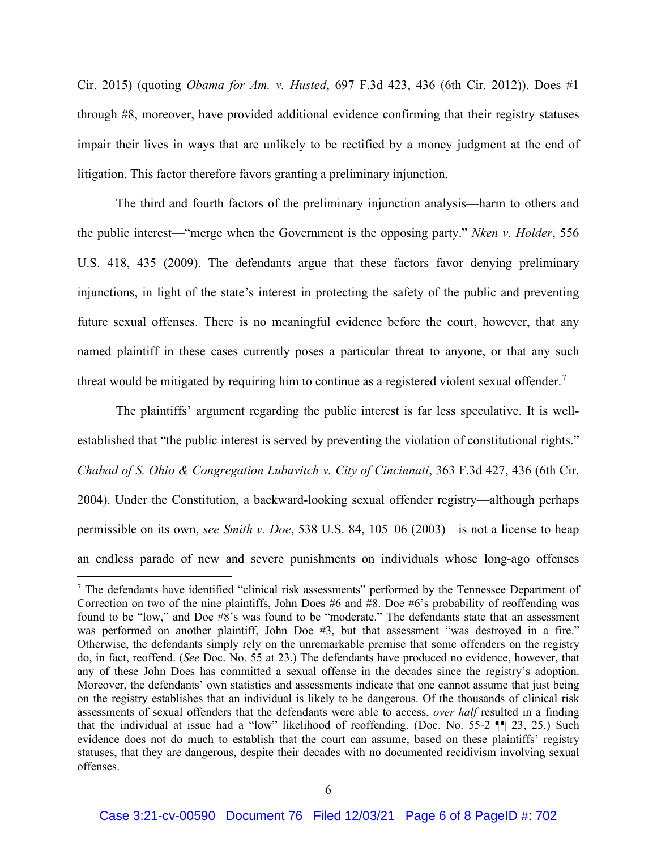Cir. 2015) (quoting *Obama for Am. v. Husted*, 697 F.3d 423, 436 (6th Cir. 2012)). Does #1 through #8, moreover, have provided additional evidence confirming that their registry statuses impair their lives in ways that are unlikely to be rectified by a money judgment at the end of litigation. This factor therefore favors granting a preliminary injunction.

The third and fourth factors of the preliminary injunction analysis—harm to others and the public interest—"merge when the Government is the opposing party." *Nken v. Holder*, 556 U.S. 418, 435 (2009). The defendants argue that these factors favor denying preliminary injunctions, in light of the state's interest in protecting the safety of the public and preventing future sexual offenses. There is no meaningful evidence before the court, however, that any named plaintiff in these cases currently poses a particular threat to anyone, or that any such threat would be mitigated by requiring him to continue as a registered violent sexual offender.<sup>7</sup>

The plaintiffs' argument regarding the public interest is far less speculative. It is wellestablished that "the public interest is served by preventing the violation of constitutional rights." *Chabad of S. Ohio & Congregation Lubavitch v. City of Cincinnati*, 363 F.3d 427, 436 (6th Cir. 2004). Under the Constitution, a backward-looking sexual offender registry—although perhaps permissible on its own, *see Smith v. Doe*, 538 U.S. 84, 105–06 (2003)—is not a license to heap an endless parade of new and severe punishments on individuals whose long-ago offenses

<sup>&</sup>lt;sup>7</sup> The defendants have identified "clinical risk assessments" performed by the Tennessee Department of Correction on two of the nine plaintiffs, John Does #6 and  $\hat{H}8$ . Doe #6's probability of reoffending was found to be "low," and Doe #8's was found to be "moderate." The defendants state that an assessment was performed on another plaintiff, John Doe #3, but that assessment "was destroyed in a fire." Otherwise, the defendants simply rely on the unremarkable premise that some offenders on the registry do, in fact, reoffend. (*See* Doc. No. 55 at 23.) The defendants have produced no evidence, however, that any of these John Does has committed a sexual offense in the decades since the registry's adoption. Moreover, the defendants' own statistics and assessments indicate that one cannot assume that just being on the registry establishes that an individual is likely to be dangerous. Of the thousands of clinical risk assessments of sexual offenders that the defendants were able to access, *over half* resulted in a finding that the individual at issue had a "low" likelihood of reoffending. (Doc. No. 55-2 ¶¶ 23, 25.) Such evidence does not do much to establish that the court can assume, based on these plaintiffs' registry statuses, that they are dangerous, despite their decades with no documented recidivism involving sexual offenses.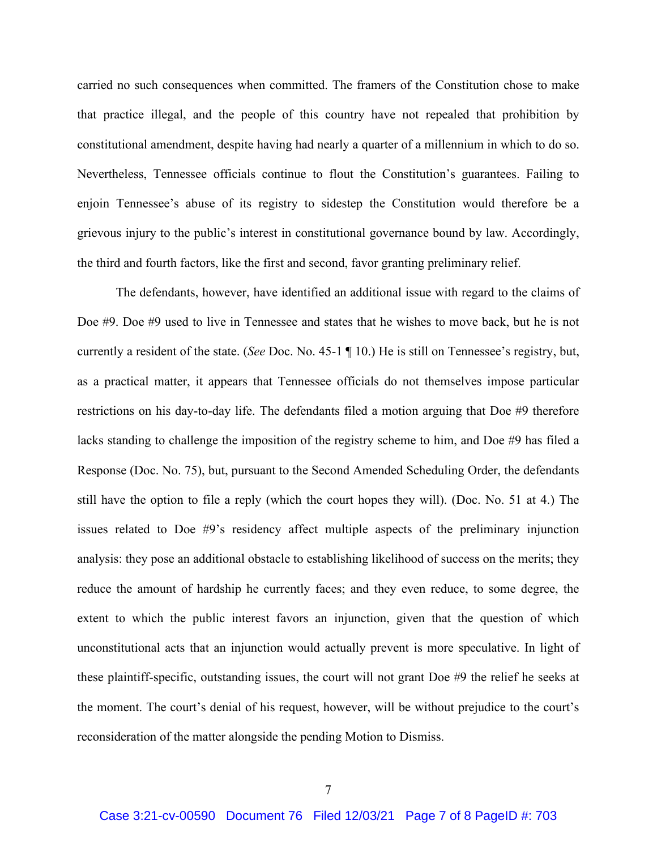carried no such consequences when committed. The framers of the Constitution chose to make that practice illegal, and the people of this country have not repealed that prohibition by constitutional amendment, despite having had nearly a quarter of a millennium in which to do so. Nevertheless, Tennessee officials continue to flout the Constitution's guarantees. Failing to enjoin Tennessee's abuse of its registry to sidestep the Constitution would therefore be a grievous injury to the public's interest in constitutional governance bound by law. Accordingly, the third and fourth factors, like the first and second, favor granting preliminary relief.

The defendants, however, have identified an additional issue with regard to the claims of Doe #9. Doe #9 used to live in Tennessee and states that he wishes to move back, but he is not currently a resident of the state. (*See* Doc. No. 45-1 ¶ 10.) He is still on Tennessee's registry, but, as a practical matter, it appears that Tennessee officials do not themselves impose particular restrictions on his day-to-day life. The defendants filed a motion arguing that Doe #9 therefore lacks standing to challenge the imposition of the registry scheme to him, and Doe #9 has filed a Response (Doc. No. 75), but, pursuant to the Second Amended Scheduling Order, the defendants still have the option to file a reply (which the court hopes they will). (Doc. No. 51 at 4.) The issues related to Doe #9's residency affect multiple aspects of the preliminary injunction analysis: they pose an additional obstacle to establishing likelihood of success on the merits; they reduce the amount of hardship he currently faces; and they even reduce, to some degree, the extent to which the public interest favors an injunction, given that the question of which unconstitutional acts that an injunction would actually prevent is more speculative. In light of these plaintiff-specific, outstanding issues, the court will not grant Doe #9 the relief he seeks at the moment. The court's denial of his request, however, will be without prejudice to the court's reconsideration of the matter alongside the pending Motion to Dismiss.